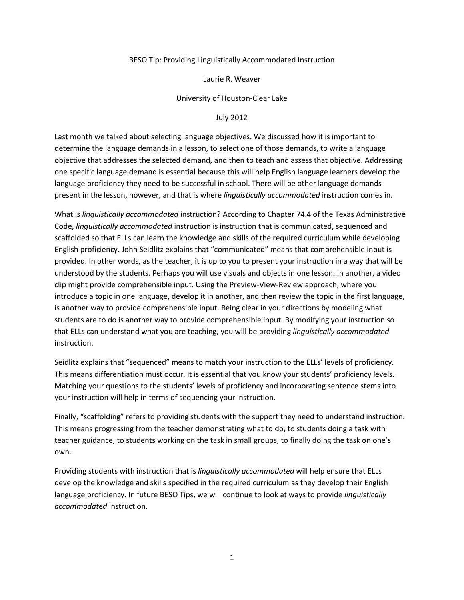## BESO Tip: Providing Linguistically Accommodated Instruction

## Laurie R. Weaver

## University of Houston-Clear Lake

## July 2012

Last month we talked about selecting language objectives. We discussed how it is important to determine the language demands in a lesson, to select one of those demands, to write a language objective that addresses the selected demand, and then to teach and assess that objective. Addressing one specific language demand is essential because this will help English language learners develop the language proficiency they need to be successful in school. There will be other language demands present in the lesson, however, and that is where *linguistically accommodated* instruction comes in.

What is *linguistically accommodated* instruction? According to Chapter 74.4 of the Texas Administrative Code, *linguistically accommodated* instruction is instruction that is communicated, sequenced and scaffolded so that ELLs can learn the knowledge and skills of the required curriculum while developing English proficiency. John Seidlitz explains that "communicated" means that comprehensible input is provided. In other words, as the teacher, it is up to you to present your instruction in a way that will be understood by the students. Perhaps you will use visuals and objects in one lesson. In another, a video clip might provide comprehensible input. Using the Preview-View-Review approach, where you introduce a topic in one language, develop it in another, and then review the topic in the first language, is another way to provide comprehensible input. Being clear in your directions by modeling what students are to do is another way to provide comprehensible input. By modifying your instruction so that ELLs can understand what you are teaching, you will be providing *linguistically accommodated* instruction.

Seidlitz explains that "sequenced" means to match your instruction to the ELLs' levels of proficiency. This means differentiation must occur. It is essential that you know your students' proficiency levels. Matching your questions to the students' levels of proficiency and incorporating sentence stems into your instruction will help in terms of sequencing your instruction.

Finally, "scaffolding" refers to providing students with the support they need to understand instruction. This means progressing from the teacher demonstrating what to do, to students doing a task with teacher guidance, to students working on the task in small groups, to finally doing the task on one's own.

Providing students with instruction that is *linguistically accommodated* will help ensure that ELLs develop the knowledge and skills specified in the required curriculum as they develop their English language proficiency. In future BESO Tips, we will continue to look at ways to provide *linguistically accommodated* instruction.